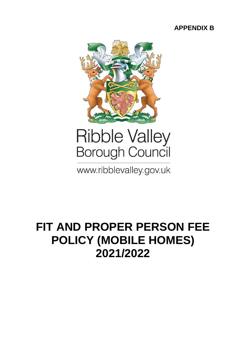### **APPENDIX B**



# **Ribble Valley Borough Council**

www.ribblevalley.gov.uk

## **FIT AND PROPER PERSON FEE POLICY (MOBILE HOMES) 2021/2022**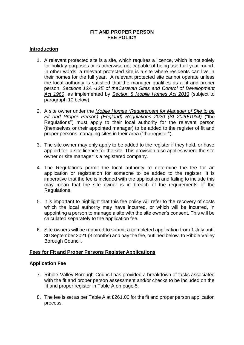#### **FIT AND PROPER PERSON FEE POLICY**

#### **Introduction**

- 1. A relevant protected site is a site, which requires a licence, which is not solely for holiday purposes or is otherwise not capable of being used all year round. In other words, a relevant protected site is a site where residents can live in their homes for the full year. A relevant protected site cannot operate unless the local authority is satisfied that the manager qualifies as a fit and proper person, *Sections 12A -12E of theCaravan Sites and Control of Development Act 1960*, as implemented by *Section 8 Mobile Homes Act 2013* (subject to paragraph 10 below).
- 2. A site owner under the *Mobile Homes (Requirement for Manager of Site to be Fit and Proper Person) (England) Regulations 2020 (SI 2020/1034)* ("the Regulations") must apply to their local authority for the relevant person (themselves or their appointed manager) to be added to the register of fit and proper persons managing sites in their area ("the register").
- 3. The site owner may only apply to be added to the register if they hold, or have applied for, a site licence for the site. This provision also applies where the site owner or site manager is a registered company.
- 4. The Regulations permit the local authority to determine the fee for an application or registration for someone to be added to the register. It is imperative that the fee is included with the application and failing to include this may mean that the site owner is in breach of the requirements of the Regulations.
- 5. It is important to highlight that this fee policy will refer to the recovery of costs which the local authority may have incurred, or which will be incurred, in appointing a person to manage a site with the site owner's consent. This will be calculated separately to the application fee.
- 6. Site owners will be required to submit a completed application from 1 July until 30 September 2021 (3 months) and pay the fee, outlined below, to Ribble Valley Borough Council.

#### **Fees for Fit and Proper Persons Register Applications**

#### **Application Fee**

- 7. Ribble Valley Borough Council has provided a breakdown of tasks associated with the fit and proper person assessment and/or checks to be included on the fit and proper register in Table A on page 5.
- 8. The fee is set as per Table A at £261.00 for the fit and proper person application process.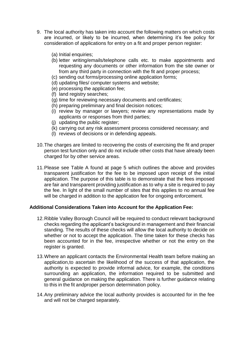- 9. The local authority has taken into account the following matters on which costs are incurred, or likely to be incurred, when determining it's fee policy for consideration of applications for entry on a fit and proper person register:
	- (a) Initial enquiries;
	- (b) letter writing/emails/telephone calls etc. to make appointments and requesting any documents or other information from the site owner or from any third party in connection with the fit and proper process;
	- (c) sending out forms/processing online application forms;
	- (d) updating files/ computer systems and website;
	- (e) processing the application fee;
	- (f) land registry searches;
	- (g) time for reviewing necessary documents and certificates;
	- (h) preparing preliminary and final decision notices;
	- (i) review by manager or lawyers; review any representations made by applicants or responses from third parties;
	- (j) updating the public register;
	- (k) carrying out any risk assessment process considered necessary; and
	- (l) reviews of decisions or in defending appeals.
- 10.The charges are limited to recovering the costs of exercising the fit and proper person test function only and do not include other costs that have already been charged for by other service areas.
- 11.Please see Table A found at page 5 which outlines the above and provides transparent justification for the fee to be imposed upon receipt of the initial application. The purpose of this table is to demonstrate that the fees imposed are fair and transparent providing justification as to why a site is required to pay the fee. In light of the small number of sites that this applies to no annual fee will be charged in addition to the application fee for ongoing enforcement.

#### **Additional Considerations Taken into Account for the Application Fee:**

- 12.Ribble Valley Borough Council will be required to conduct relevant background checks regarding the applicant's background in management and their financial standing. The results of these checks will allow the local authority to decide on whether or not to accept the application. The time taken for these checks has been accounted for in the fee, irrespective whether or not the entry on the register is granted.
- 13.Where an applicant contacts the Environmental Health team before making an application,to ascertain the likelihood of the success of that application, the authority is expected to provide informal advice, for example, the conditions surrounding an application, the information required to be submitted and general guidance on making the application. There is further guidance relating to this in the fit andproper person determination policy.
- 14.Any preliminary advice the local authority provides is accounted for in the fee and will not be charged separately.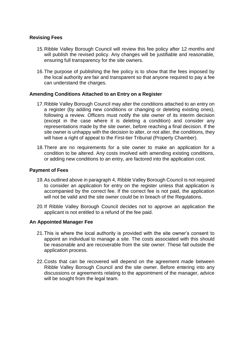#### **Revising Fees**

- 15.Ribble Valley Borough Council will review this fee policy after 12 months and will publish the revised policy. Any changes will be justifiable and reasonable, ensuring full transparency for the site owners.
- 16.The purpose of publishing the fee policy is to show that the fees imposed by the local authority are fair and transparent so that anyone required to pay a fee can understand the charges.

#### **Amending Conditions Attached to an Entry on a Register**

- 17.Ribble Valley Borough Council may alter the conditions attached to an entry on a register (by adding new conditions or changing or deleting existing ones), following a review. Officers must notify the site owner of its interim decision (except in the case where it is deleting a condition) and consider any representations made by the site owner, before reaching a final decision. If the site owner is unhappy with the decision to alter, or not alter, the conditions, they will have a right of appeal to the First-tier Tribunal (Property Chamber).
- 18.There are no requirements for a site owner to make an application for a condition to be altered. Any costs involved with amending existing conditions, or adding new conditions to an entry, are factored into the application cost.

#### **Payment of Fees**

- 19.As outlined above in paragraph 4, Ribble Valley Borough Council is not required to consider an application for entry on the register unless that application is accompanied by the correct fee. If the correct fee is not paid, the application will not be valid and the site owner could be in breach of the Regulations.
- 20.If Ribble Valley Borough Council decides not to approve an application the applicant is not entitled to a refund of the fee paid.

#### **An Appointed Manager Fee**

- 21.This is where the local authority is provided with the site owner's consent to appoint an individual to manage a site. The costs associated with this should be reasonable and are recoverable from the site owner. These fall outside the application process.
- 22.Costs that can be recovered will depend on the agreement made between Ribble Valley Borough Council and the site owner. Before entering into any discussions or agreements relating to the appointment of the manager, advice will be sought from the legal team.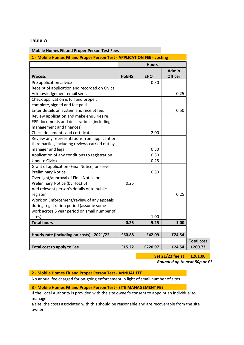#### **Table A**

| <b>Mobile Homes Fit and Proper Person Test Fees</b>                     |              |            |                                |
|-------------------------------------------------------------------------|--------------|------------|--------------------------------|
| 1 - Mobile Homes Fit and Proper Person Test - APPLICATION FEE - costing |              |            |                                |
|                                                                         | <b>Hours</b> |            |                                |
| <b>Process</b>                                                          | <b>HoEHS</b> | <b>EHO</b> | <b>Admin</b><br><b>Officer</b> |
| Pre application advice                                                  |              | 0.50       |                                |
| Receipt of application and recorded on Civica.                          |              |            |                                |
| Acknowledgement email sent.                                             |              |            | 0.25                           |
| Check application is full and proper,                                   |              |            |                                |
| complete, signed and fee paid.                                          |              |            |                                |
| Enter details on system and receipt fee.                                |              |            | 0.50                           |
| Review application and make enquiries re                                |              |            |                                |
| FPP documents and declarations (including                               |              |            |                                |
| management and finances).                                               |              |            |                                |
| Check documents and certificates.                                       |              | 2.00       |                                |
| Review any representations from applicant or                            |              |            |                                |
| third parties, including reviews carried out by                         |              |            |                                |
| manager and legal.                                                      |              | 0.50       |                                |
| Application of any conditions to registration.                          |              | 0.50       |                                |
| Update Civica.                                                          |              | 0.25       |                                |
| Grant of application (Final Notice) or serve                            |              |            |                                |
| <b>Preliminary Notice</b>                                               |              | 0.50       |                                |
| Oversight/approval of Final Notice or                                   |              |            |                                |
| Preliminary Notice (by HoEHS)                                           | 0.25         |            |                                |
| Add relevant person's details onto public                               |              |            |                                |
| register                                                                |              |            | 0.25                           |
| Work on Enforcement/review of any appeals                               |              |            |                                |
| during registration period (assume some                                 |              |            |                                |
| work across 5 year period on small number of                            |              |            |                                |
| sites)                                                                  |              | 1.00       |                                |
| <b>Total hours</b>                                                      | 0.25         | 5.25       | 1.00                           |
|                                                                         |              |            |                                |
| Hourly rate (including on-costs) - 2021/22                              | £60.88       | £42.09     | £24.54                         |
| Total cost to apply to Fee                                              | £15.22       | £220.97    | £24.54                         |
|                                                                         |              |            |                                |

**Set 21/22 fee at £261.00**

*Rounded up to next 50p or £1*

**2 - Mobile Homes Fit and Proper Person Test - ANNUAL FEE**

No annual fee charged for on-going enforcement in light of small number of sites.

#### **3 - Mobile Homes Fit and Proper Person Test - SITE MANAGEMENT FEE**

If the Local Authority is provided with the site owner's consent to appoint an individual to manage

a site, the costs associated with this should be reasonable and are recoverable from the site owner.